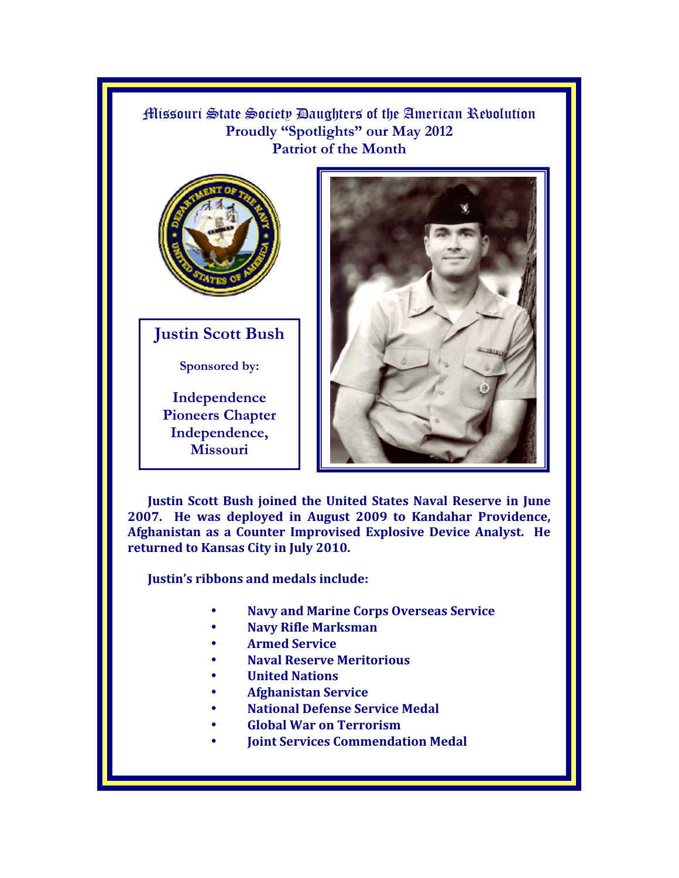Missouri State Society Daughters of the American Revolution Proudly "Spotlights" our May 2012 **Patriot of the Month**



**Justin Scott Bush** 

**Sponsored by:** 

**Independence Pioneers Chapter Independence, Missouri** 



**Justin Scott Bush joined the United States Naval Reserve in June 2007. He was deployed in August 2009 to Kandahar Providence, Afghanistan as a Counter Improvised Explosive Device Analyst. He returned to Kansas City in July 2010.** 

**Justin's ribbons and medals include:** 

- **Navy and Marine Corps Overseas Service**
- **Navy Rifle Marksman**
- **Armed Service**
- **Naval Reserve Meritorious**
- **United Nations**
- **Afghanistan Service**
- **National Defense Service Medal**
- **Global War on Terrorism**
- **Joint Services Commendation Medal**